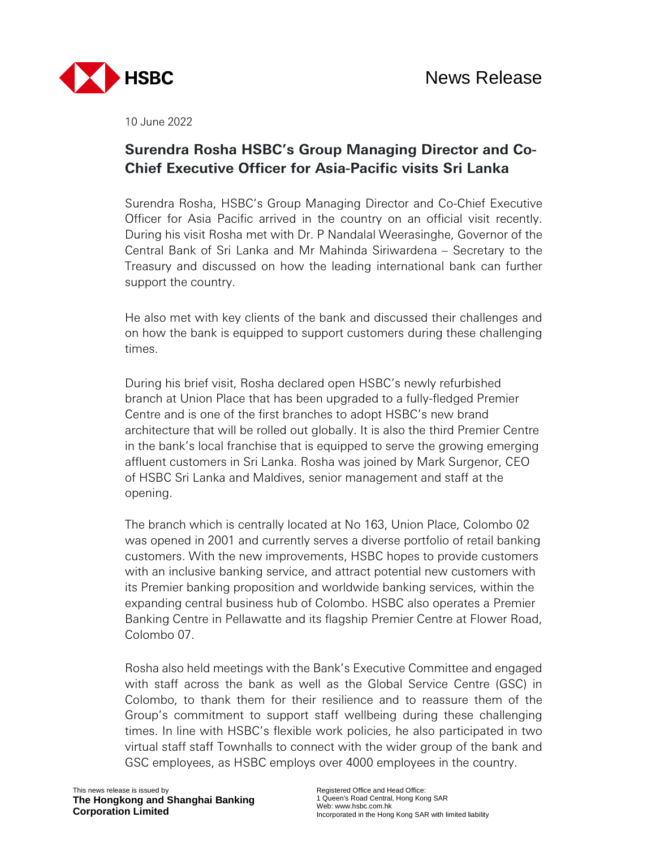

10 June 2022

## **Surendra Rosha HSBC's Group Managing Director and Co-Chief Executive Officer for Asia-Pacific visits Sri Lanka**

Surendra Rosha, HSBC's Group Managing Director and Co-Chief Executive Officer for Asia Pacific arrived in the country on an official visit recently. During his visit Rosha met with Dr. P Nandalal Weerasinghe, Governor of the Central Bank of Sri Lanka and Mr Mahinda Siriwardena – Secretary to the Treasury and discussed on how the leading international bank can further support the country.

He also met with key clients of the bank and discussed their challenges and on how the bank is equipped to support customers during these challenging times.

During his brief visit, Rosha declared open HSBC's newly refurbished branch at Union Place that has been upgraded to a fully-fledged Premier Centre and is one of the first branches to adopt HSBC's new brand architecture that will be rolled out globally. It is also the third Premier Centre in the bank's local franchise that is equipped to serve the growing emerging affluent customers in Sri Lanka. Rosha was joined by Mark Surgenor, CEO of HSBC Sri Lanka and Maldives, senior management and staff at the opening.

The branch which is centrally located at No 163, Union Place, Colombo 02 was opened in 2001 and currently serves a diverse portfolio of retail banking customers. With the new improvements, HSBC hopes to provide customers with an inclusive banking service, and attract potential new customers with its Premier banking proposition and worldwide banking services, within the expanding central business hub of Colombo. HSBC also operates a Premier Banking Centre in Pellawatte and its flagship Premier Centre at Flower Road, Colombo 07.

Rosha also held meetings with the Bank's Executive Committee and engaged with staff across the bank as well as the Global Service Centre (GSC) in Colombo, to thank them for their resilience and to reassure them of the Group's commitment to support staff wellbeing during these challenging times. In line with HSBC's flexible work policies, he also participated in two virtual staff staff Townhalls to connect with the wider group of the bank and GSC employees, as HSBC employs over 4000 employees in the country.